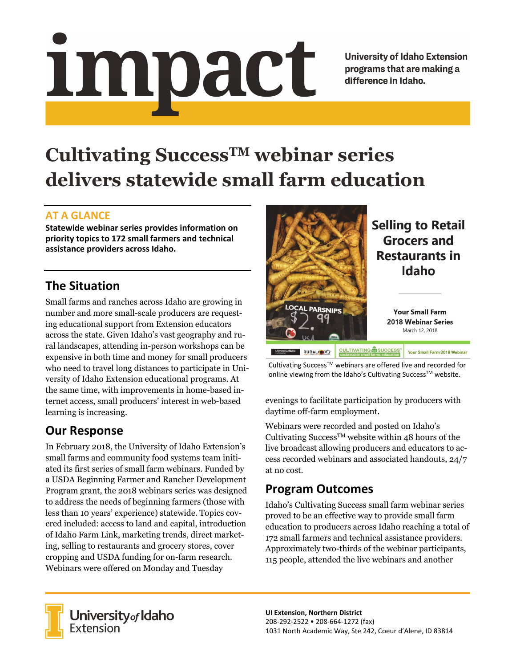# impact

**University of Idaho Extension** programs that are making a difference in Idaho.

# **Cultivating SuccessTM webinar series delivers statewide small farm education**

#### **AT A GLANCE**

**Statewide webinar series provides information on priority topics to 172 small farmers and technical assistance providers across Idaho.**

# **The Situation**

Small farms and ranches across Idaho are growing in number and more small-scale producers are requesting educational support from Extension educators across the state. Given Idaho's vast geography and rural landscapes, attending in-person workshops can be expensive in both time and money for small producers who need to travel long distances to participate in University of Idaho Extension educational programs. At the same time, with improvements in home-based internet access, small producers' interest in web-based learning is increasing.

## **Our Response**

In February 2018, the University of Idaho Extension's small farms and community food systems team initiated its first series of small farm webinars. Funded by a USDA Beginning Farmer and Rancher Development Program grant, the 2018 webinars series was designed to address the needs of beginning farmers (those with less than 10 years' experience) statewide. Topics covered included: access to land and capital, introduction of Idaho Farm Link, marketing trends, direct marketing, selling to restaurants and grocery stores, cover cropping and USDA funding for on-farm research. Webinars were offered on Monday and Tuesday



Cultivating Success<sup>™</sup> webinars are offered live and recorded for online viewing from the Idaho's Cultivating Success™ website.

evenings to facilitate participation by producers with daytime off-farm employment.

Webinars were recorded and posted on Idaho's Cultivating Success<sup>TM</sup> website within 48 hours of the live broadcast allowing producers and educators to access recorded webinars and associated handouts, 24/7 at no cost.

### **Program Outcomes**

Idaho's Cultivating Success small farm webinar series proved to be an effective way to provide small farm education to producers across Idaho reaching a total of 172 small farmers and technical assistance providers. Approximately two-thirds of the webinar participants, 115 people, attended the live webinars and another



**University** of Idaho<br>Extension